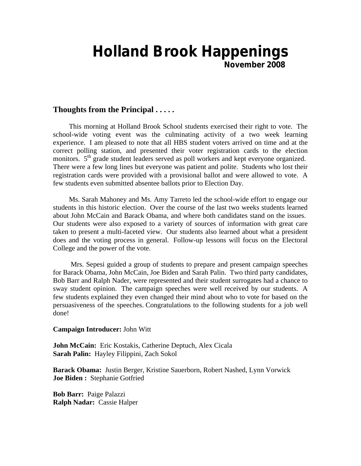# **Holland Brook Happenings November 2008**

## **Thoughts from the Principal . . . . .**

 This morning at Holland Brook School students exercised their right to vote. The school-wide voting event was the culminating activity of a two week learning experience. I am pleased to note that all HBS student voters arrived on time and at the correct polling station, and presented their voter registration cards to the election monitors. 5<sup>th</sup> grade student leaders served as poll workers and kept everyone organized. There were a few long lines but everyone was patient and polite. Students who lost their registration cards were provided with a provisional ballot and were allowed to vote. A few students even submitted absentee ballots prior to Election Day.

 Ms. Sarah Mahoney and Ms. Amy Tarreto led the school-wide effort to engage our students in this historic election. Over the course of the last two weeks students learned about John McCain and Barack Obama, and where both candidates stand on the issues. Our students were also exposed to a variety of sources of information with great care taken to present a multi-faceted view. Our students also learned about what a president does and the voting process in general. Follow-up lessons will focus on the Electoral College and the power of the vote.

 Mrs. Sepesi guided a group of students to prepare and present campaign speeches for Barack Obama, John McCain, Joe Biden and Sarah Palin. Two third party candidates, Bob Barr and Ralph Nader, were represented and their student surrogates had a chance to sway student opinion. The campaign speeches were well received by our students. A few students explained they even changed their mind about who to vote for based on the persuasiveness of the speeches. Congratulations to the following students for a job well done!

#### **Campaign Introducer:** John Witt

**John McCain:** Eric Kostakis, Catherine Deptuch, Alex Cicala **Sarah Palin:** Hayley Filippini, Zach Sokol

**Barack Obama:** Justin Berger, Kristine Sauerborn, Robert Nashed, Lynn Vorwick **Joe Biden :** Stephanie Gotfried

**Bob Barr:** Paige Palazzi **Ralph Nadar:** Cassie Halper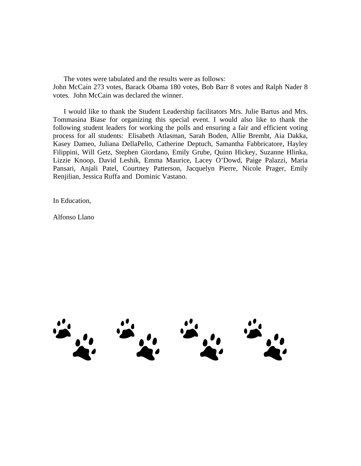The votes were tabulated and the results were as follows: John McCain 273 votes, Barack Obama 180 votes, Bob Barr 8 votes and Ralph Nader 8 votes. John McCain was declared the winner.

 I would like to thank the Student Leadership facilitators Mrs. Julie Bartus and Mrs. Tommasina Biase for organizing this special event. I would also like to thank the following student leaders for working the polls and ensuring a fair and efficient voting process for all students: Elisabeth Atlasman, Sarah Boden, Allie Brembt, Aia Dakka, Kasey Dameo, Juliana DellaPello, Catherine Deptuch, Samantha Fabbricatore, Hayley Filippini, Will Getz, Stephen Giordano, Emily Grube, Quinn Hickey, Suzanne Hlinka, Lizzie Knoop, David Leshik, Emma Maurice, Lacey O'Dowd, Paige Palazzi, Maria Pansari, Anjali Patel, Courtney Patterson, Jacquelyn Pierre, Nicole Prager, Emily Renjilian, Jessica Ruffa and Dominic Vastano.

In Education,

Alfonso Llano

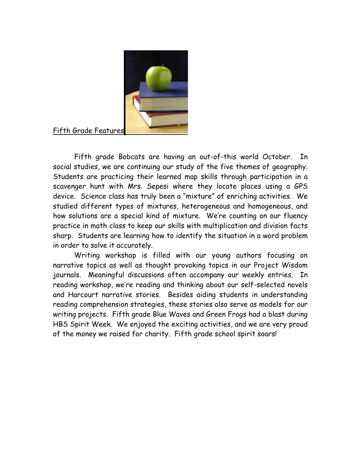

# Fifth Grade Features

Fifth grade Bobcats are having an out-of-this world October. In social studies, we are continuing our study of the five themes of geography. Students are practicing their learned map skills through participation in a scavenger hunt with Mrs. Sepesi where they locate places using a GPS device. Science class has truly been a "mixture" of enriching activities. We studied different types of mixtures, heterogeneous and homogeneous, and how solutions are a special kind of mixture. We're counting on our fluency practice in math class to keep our skills with multiplication and division facts sharp. Students are learning how to identify the situation in a word problem in order to solve it accurately.

Writing workshop is filled with our young authors focusing on narrative topics as well as thought provoking topics in our Project Wisdom journals. Meaningful discussions often accompany our weekly entries. In reading workshop, we're reading and thinking about our self-selected novels and Harcourt narrative stories. Besides aiding students in understanding reading comprehension strategies, these stories also serve as models for our writing projects. Fifth grade Blue Waves and Green Frogs had a blast during HBS Spirit Week. We enjoyed the exciting activities, and we are very proud of the money we raised for charity. Fifth grade school spirit soars!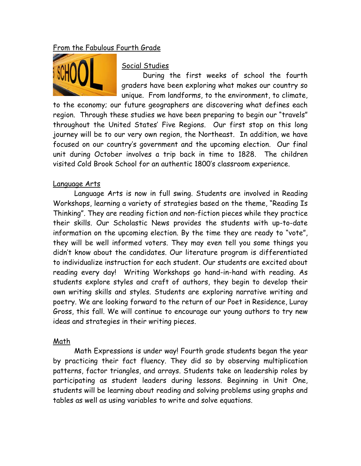# From the Fabulous Fourth Grade



# Social Studies

During the first weeks of school the fourth graders have been exploring what makes our country so unique. From landforms, to the environment, to climate,

to the economy; our future geographers are discovering what defines each region. Through these studies we have been preparing to begin our "travels" throughout the United States' Five Regions. Our first stop on this long journey will be to our very own region, the Northeast. In addition, we have focused on our country's government and the upcoming election. Our final unit during October involves a trip back in time to 1828. The children visited Cold Brook School for an authentic 1800's classroom experience.

# Language Arts

Language Arts is now in full swing. Students are involved in Reading Workshops, learning a variety of strategies based on the theme, "Reading Is Thinking". They are reading fiction and non-fiction pieces while they practice their skills. Our Scholastic News provides the students with up-to-date information on the upcoming election. By the time they are ready to "vote", they will be well informed voters. They may even tell you some things you didn't know about the candidates. Our literature program is differentiated to individualize instruction for each student. Our students are excited about reading every day! Writing Workshops go hand-in-hand with reading. As students explore styles and craft of authors, they begin to develop their own writing skills and styles. Students are exploring narrative writing and poetry. We are looking forward to the return of our Poet in Residence, Luray Gross, this fall. We will continue to encourage our young authors to try new ideas and strategies in their writing pieces.

# Math

 Math Expressions is under way! Fourth grade students began the year by practicing their fact fluency. They did so by observing multiplication patterns, factor triangles, and arrays. Students take on leadership roles by participating as student leaders during lessons. Beginning in Unit One, students will be learning about reading and solving problems using graphs and tables as well as using variables to write and solve equations.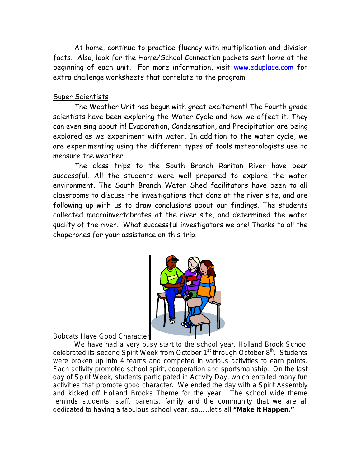At home, continue to practice fluency with multiplication and division facts. Also, look for the Home/School Connection packets sent home at the beginning of each unit. For more information, visit www.eduplace.com for extra challenge worksheets that correlate to the program.

# Super Scientists

The Weather Unit has begun with great excitement! The Fourth grade scientists have been exploring the Water Cycle and how we affect it. They can even sing about it! Evaporation, Condensation, and Precipitation are being explored as we experiment with water. In addition to the water cycle, we are experimenting using the different types of tools meteorologists use to measure the weather.

The class trips to the South Branch Raritan River have been successful. All the students were well prepared to explore the water environment. The South Branch Water Shed facilitators have been to all classrooms to discuss the investigations that done at the river site, and are following up with us to draw conclusions about our findings. The students collected macroinvertabrates at the river site, and determined the water quality of the river. What successful investigators we are! Thanks to all the chaperones for your assistance on this trip.



Bobcats Have Good Character

We have had a very busy start to the school year. Holland Brook School celebrated its second Spirit Week from October  $1<sup>st</sup>$  through October  $8<sup>th</sup>$ . Students were broken up into 4 teams and competed in various activities to earn points. Each activity promoted school spirit, cooperation and sportsmanship. On the last day of Spirit Week, students participated in Activity Day, which entailed many fun activities that promote good character. We ended the day with a Spirit Assembly and kicked off Holland Brooks Theme for the year. The school wide theme reminds students, staff, parents, family and the community that we are all dedicated to having a fabulous school year, so…..let's all **"Make It Happen."**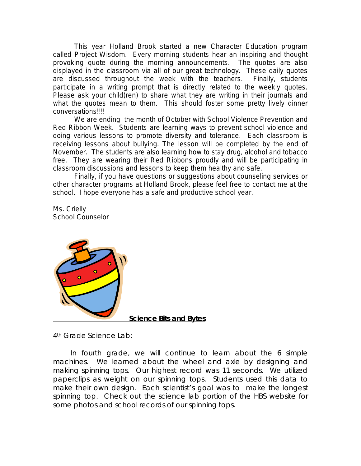This year Holland Brook started a new Character Education program called Project Wisdom. Every morning students hear an inspiring and thought provoking quote during the morning announcements. The quotes are also displayed in the classroom via all of our great technology. These daily quotes are discussed throughout the week with the teachers. Finally, students participate in a writing prompt that is directly related to the weekly quotes. Please ask your child(ren) to share what they are writing in their journals and what the quotes mean to them. This should foster some pretty lively dinner conversations!!!!

 We are ending the month of October with School Violence Prevention and Red Ribbon Week. Students are learning ways to prevent school violence and doing various lessons to promote diversity and tolerance. Each classroom is receiving lessons about bullying. The lesson will be completed by the end of November. The students are also learning how to stay drug, alcohol and tobacco free. They are wearing their Red Ribbons proudly and will be participating in classroom discussions and lessons to keep them healthy and safe.

 Finally, if you have questions or suggestions about counseling services or other character programs at Holland Brook, please feel free to contact me at the school. I hope everyone has a safe and productive school year.

Ms. Crielly School Counselor



4th Grade Science Lab:

 In fourth grade, we will continue to learn about the 6 simple machines. We learned about the wheel and axle by designing and making spinning tops. Our highest record was 11 seconds. We utilized paperclips as weight on our spinning tops. Students used this data to make their own design. Each scientist's goal was to make the longest spinning top. Check out the science lab portion of the HBS website for some photos and school records of our spinning tops.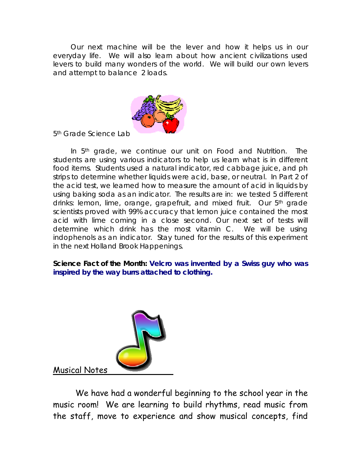Our next machine will be the lever and how it helps us in our everyday life. We will also learn about how ancient civilizations used levers to build many wonders of the world. We will build our own levers and attempt to balance 2 loads.



5<sup>th</sup> Grade Science Lab

In 5<sup>th</sup> grade, we continue our unit on Food and Nutrition. The students are using various indicators to help us learn what is in different food items. Students used a natural indicator, red cabbage juice, and ph strips to determine whether liquids were acid, base, or neutral. In Part 2 of the acid test, we learned how to measure the amount of acid in liquids by using baking soda as an indicator. The results are in: we tested 5 different drinks: lemon, lime, orange, grapefruit, and mixed fruit. Our 5th grade scientists proved with 99% accuracy that lemon juice contained the most acid with lime coming in a close second. Our next set of tests will determine which drink has the most vitamin C. We will be using indophenols as an indicator. Stay tuned for the results of this experiment in the next Holland Brook Happenings.

**Science Fact of the Month: Velcro was invented by a Swiss guy who was inspired by the way burrs attached to clothing.**



Musical Notes

 We have had a wonderful beginning to the school year in the music room! We are learning to build rhythms, read music from the staff, move to experience and show musical concepts, find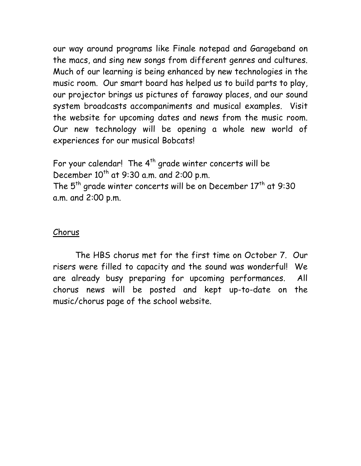our way around programs like Finale notepad and Garageband on the macs, and sing new songs from different genres and cultures. Much of our learning is being enhanced by new technologies in the music room. Our smart board has helped us to build parts to play, our projector brings us pictures of faraway places, and our sound system broadcasts accompaniments and musical examples. Visit the website for upcoming dates and news from the music room. Our new technology will be opening a whole new world of experiences for our musical Bobcats!

For your calendar! The  $4<sup>th</sup>$  grade winter concerts will be December  $10^{th}$  at 9:30 a.m. and 2:00 p.m. The 5<sup>th</sup> grade winter concerts will be on December 17<sup>th</sup> at 9:30 a.m. and 2:00 p.m.

# Chorus

 The HBS chorus met for the first time on October 7. Our risers were filled to capacity and the sound was wonderful! We are already busy preparing for upcoming performances. All chorus news will be posted and kept up-to-date on the music/chorus page of the school website.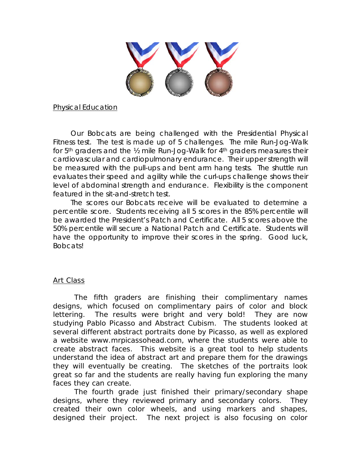

Physical Education

 Our Bobcats are being challenged with the Presidential Physical Fitness test. The test is made up of 5 challenges. The mile Run-Jog-Walk for 5<sup>th</sup> graders and the ½ mile Run-Jog-Walk for 4<sup>th</sup> graders measures their cardiovascular and cardiopulmonary endurance. Their upper strength will be measured with the pull-ups and bent arm hang tests. The shuttle run evaluates their speed and agility while the curl-ups challenge shows their level of abdominal strength and endurance. Flexibility is the component featured in the sit-and-stretch test.

 The scores our Bobcats receive will be evaluated to determine a percentile score. Students receiving all 5 scores in the 85% percentile will be awarded the President's Patch and Certificate. All 5 scores above the 50% percentile will secure a National Patch and Certificate. Students will have the opportunity to improve their scores in the spring. Good luck, Bobcats!

#### Art Class

 The fifth graders are finishing their complimentary names designs, which focused on complimentary pairs of color and block lettering. The results were bright and very bold! They are now studying Pablo Picasso and Abstract Cubism. The students looked at several different abstract portraits done by Picasso, as well as explored a website www.mrpicassohead.com, where the students were able to create abstract faces. This website is a great tool to help students understand the idea of abstract art and prepare them for the drawings they will eventually be creating. The sketches of the portraits look great so far and the students are really having fun exploring the many faces they can create.

 The fourth grade just finished their primary/secondary shape designs, where they reviewed primary and secondary colors. They created their own color wheels, and using markers and shapes, designed their project. The next project is also focusing on color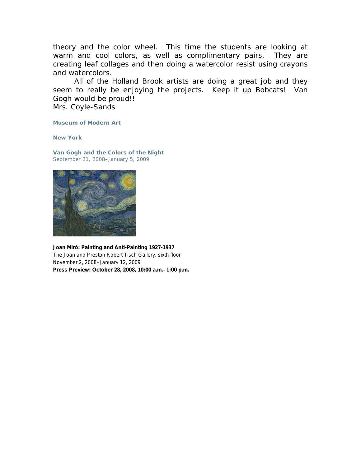theory and the color wheel. This time the students are looking at warm and cool colors, as well as complimentary pairs. They are creating leaf collages and then doing a watercolor resist using crayons and watercolors.

 All of the Holland Brook artists are doing a great job and they seem to really be enjoying the projects. Keep it up Bobcats! Van Gogh would be proud!!

Mrs. Coyle-Sands

**Museum of Modern Art** 

**New York** 

**Van Gogh and the Colors of the Night** September 21, 2008–January 5, 2009



**Joan Miró: Painting and Anti-Painting 1927-1937** The Joan and Preston Robert Tisch Gallery, sixth floor November 2, 2008–January 12, 2009 **Press Preview: October 28, 2008, 10:00 a.m.–1:00 p.m.**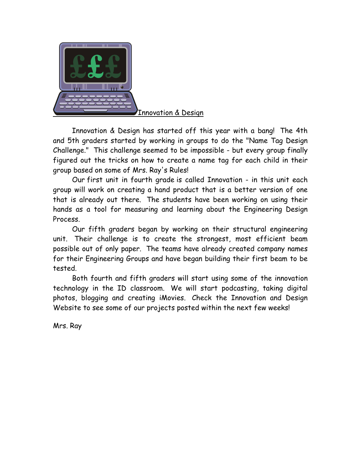

 Innovation & Design has started off this year with a bang! The 4th and 5th graders started by working in groups to do the "Name Tag Design Challenge." This challenge seemed to be impossible - but every group finally figured out the tricks on how to create a name tag for each child in their group based on some of Mrs. Ray's Rules!

 Our first unit in fourth grade is called Innovation - in this unit each group will work on creating a hand product that is a better version of one that is already out there. The students have been working on using their hands as a tool for measuring and learning about the Engineering Design Process.

 Our fifth graders began by working on their structural engineering unit. Their challenge is to create the strongest, most efficient beam possible out of only paper. The teams have already created company names for their Engineering Groups and have began building their first beam to be tested.

 Both fourth and fifth graders will start using some of the innovation technology in the ID classroom. We will start podcasting, taking digital photos, blogging and creating iMovies. Check the Innovation and Design Website to see some of our projects posted within the next few weeks!

Mrs. Ray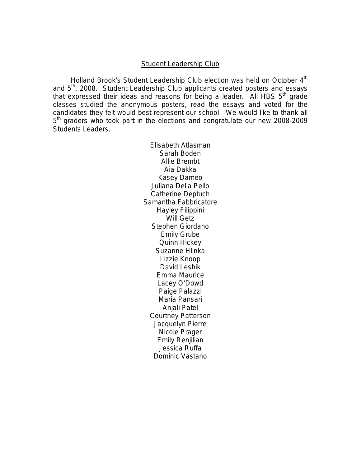#### Student Leadership Club

Holland Brook's Student Leadership Club election was held on October 4<sup>th</sup> and 5<sup>th</sup>, 2008. Student Leadership Club applicants created posters and essays that expressed their ideas and reasons for being a leader. All HBS  $5<sup>th</sup>$  grade classes studied the anonymous posters, read the essays and voted for the candidates they felt would best represent our school. We would like to thank all 5<sup>th</sup> graders who took part in the elections and congratulate our new 2008-2009 Students Leaders.

> Elisabeth Atlasman Sarah Boden Allie Brembt Aia Dakka Kasey Dameo Juliana Della Pello Catherine Deptuch Samantha Fabbricatore Hayley Filippini Will Getz Stephen Giordano Emily Grube Quinn Hickey Suzanne Hlinka Lizzie Knoop David Leshik Emma Maurice Lacey O'Dowd Paige Palazzi Maria Pansari Anjali Patel Courtney Patterson Jacquelyn Pierre Nicole Prager Emily Renjilian Jessica Ruffa Dominic Vastano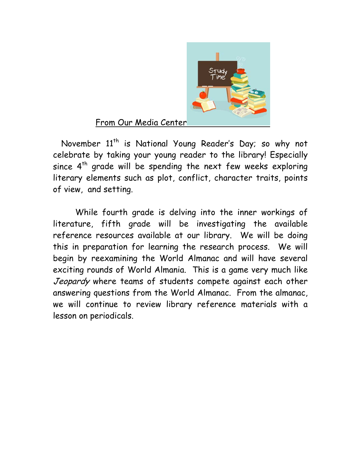

# From Our Media Center

November 11<sup>th</sup> is National Young Reader's Day; so why not celebrate by taking your young reader to the library! Especially since  $4<sup>th</sup>$  grade will be spending the next few weeks exploring literary elements such as plot, conflict, character traits, points of view, and setting.

 While fourth grade is delving into the inner workings of literature, fifth grade will be investigating the available reference resources available at our library. We will be doing this in preparation for learning the research process. We will begin by reexamining the World Almanac and will have several exciting rounds of World Almania. This is a game very much like Jeopardy where teams of students compete against each other answering questions from the World Almanac. From the almanac, we will continue to review library reference materials with a lesson on periodicals.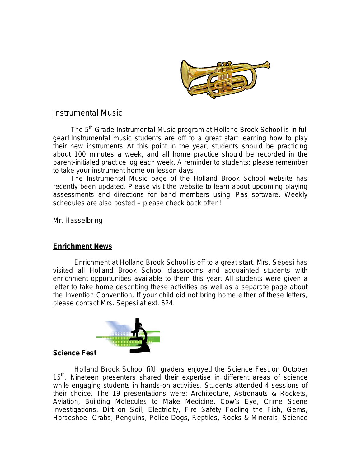

## Instrumental Music

The 5<sup>th</sup> Grade Instrumental Music program at Holland Brook School is in full gear! Instrumental music students are off to a great start learning how to play their new instruments. At this point in the year, students should be practicing about 100 minutes a week, and all home practice should be recorded in the parent-initialed practice log each week. A reminder to students: please remember to take your instrument home on lesson days!

 The Instrumental Music page of the Holland Brook School website has recently been updated. Please visit the website to learn about upcoming playing assessments and directions for band members using iPas software. Weekly schedules are also posted – please check back often!

Mr. Hasselbring

#### **Enrichment News**

 Enrichment at Holland Brook School is off to a great start. Mrs. Sepesi has visited all Holland Brook School classrooms and acquainted students with enrichment opportunities available to them this year. All students were given a letter to take home describing these activities as well as a separate page about the Invention Convention. If your child did not bring home either of these letters, please contact Mrs. Sepesi at ext. 624.



#### **Science Fest**

Holland Brook School fifth graders enjoyed the Science Fest on October 15<sup>th</sup>. Nineteen presenters shared their expertise in different areas of science while engaging students in hands-on activities. Students attended 4 sessions of their choice. The 19 presentations were: Architecture, Astronauts & Rockets, Aviation, Building Molecules to Make Medicine, Cow's Eye, Crime Scene Investigations, Dirt on Soil, Electricity, Fire Safety Fooling the Fish, Gems, Horseshoe Crabs, Penguins, Police Dogs, Reptiles, Rocks & Minerals, Science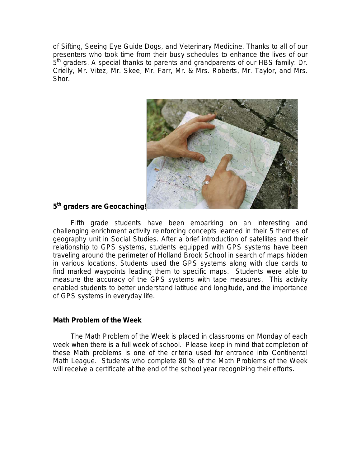of Sifting, Seeing Eye Guide Dogs, and Veterinary Medicine. Thanks to all of our presenters who took time from their busy schedules to enhance the lives of our 5<sup>th</sup> graders. A special thanks to parents and grandparents of our HBS family: Dr. Crielly, Mr. Vitez, Mr. Skee, Mr. Farr, Mr. & Mrs. Roberts, Mr. Taylor, and Mrs. Shor.



## **5th graders are Geocaching!**

 Fifth grade students have been embarking on an interesting and challenging enrichment activity reinforcing concepts learned in their 5 themes of geography unit in Social Studies. After a brief introduction of satellites and their relationship to GPS systems, students equipped with GPS systems have been traveling around the perimeter of Holland Brook School in search of maps hidden in various locations. Students used the GPS systems along with clue cards to find marked waypoints leading them to specific maps. Students were able to measure the accuracy of the GPS systems with tape measures. This activity enabled students to better understand latitude and longitude, and the importance of GPS systems in everyday life.

#### **Math Problem of the Week**

 The Math Problem of the Week is placed in classrooms on Monday of each week when there is a full week of school. Please keep in mind that completion of these Math problems is one of the criteria used for entrance into Continental Math League. Students who complete 80 % of the Math Problems of the Week will receive a certificate at the end of the school year recognizing their efforts.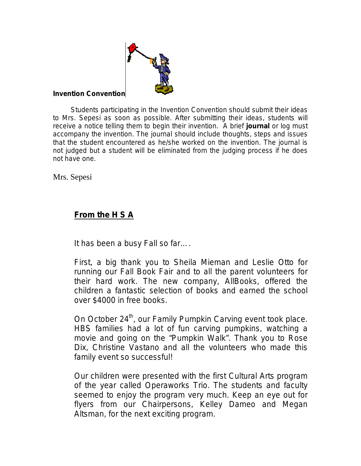

## **Invention Convention**

 Students participating in the Invention Convention should submit their ideas to Mrs. Sepesi as soon as possible. After submitting their ideas, students will receive a notice telling them to begin their invention. A brief **journal** or log must accompany the invention. The journal should include thoughts, steps and issues that the student encountered as he/she worked on the invention. The journal is not judged but a student will be eliminated from the judging process if he does not have one.

Mrs. Sepesi

# **From the H S A**

It has been a busy Fall so far….

First, a big thank you to Sheila Mieman and Leslie Otto for running our Fall Book Fair and to all the parent volunteers for their hard work. The new company, AllBooks, offered the children a fantastic selection of books and earned the school over \$4000 in free books.

On October 24<sup>th</sup>, our Family Pumpkin Carving event took place. HBS families had a lot of fun carving pumpkins, watching a movie and going on the "Pumpkin Walk". Thank you to Rose Dix, Christine Vastano and all the volunteers who made this family event so successful!

Our children were presented with the first Cultural Arts program of the year called Operaworks Trio. The students and faculty seemed to enjoy the program very much. Keep an eye out for flyers from our Chairpersons, Kelley Dameo and Megan Altsman, for the next exciting program.